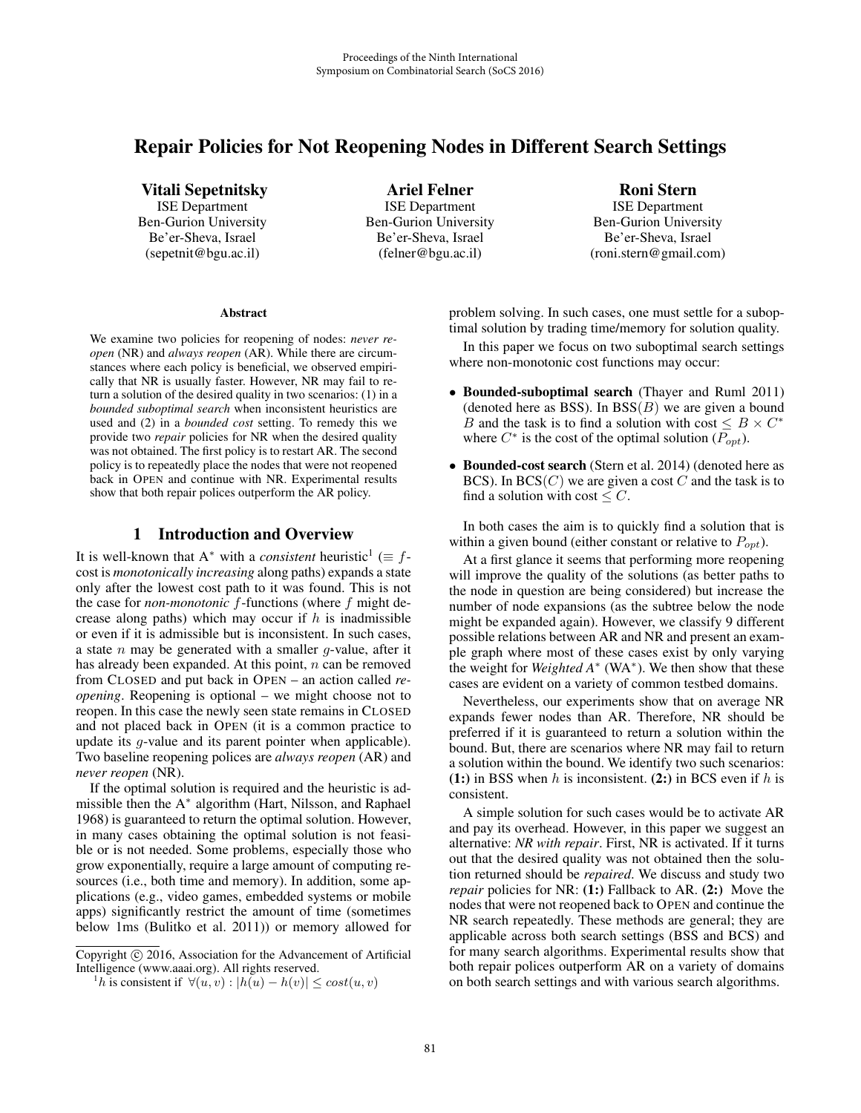# Repair Policies for Not Reopening Nodes in Different Search Settings

Vitali Sepetnitsky

ISE Department Ben-Gurion University Be'er-Sheva, Israel (sepetnit@bgu.ac.il)

Ariel Felner ISE Department Ben-Gurion University Be'er-Sheva, Israel (felner@bgu.ac.il)

Roni Stern ISE Department Ben-Gurion University Be'er-Sheva, Israel

(roni.stern@gmail.com)

#### **Abstract**

We examine two policies for reopening of nodes: *never reopen* (NR) and *always reopen* (AR). While there are circumstances where each policy is beneficial, we observed empirically that NR is usually faster. However, NR may fail to return a solution of the desired quality in two scenarios: (1) in a *bounded suboptimal search* when inconsistent heuristics are used and (2) in a *bounded cost* setting. To remedy this we provide two *repair* policies for NR when the desired quality was not obtained. The first policy is to restart AR. The second policy is to repeatedly place the nodes that were not reopened back in OPEN and continue with NR. Experimental results show that both repair polices outperform the AR policy.

### 1 Introduction and Overview

It is well-known that A<sup>\*</sup> with a *consistent* heuristic<sup>1</sup> ( $\equiv f$ cost is *monotonically increasing* along paths) expands a state only after the lowest cost path to it was found. This is not the case for *non-monotonic* f-functions (where f might decrease along paths) which may occur if  $h$  is inadmissible or even if it is admissible but is inconsistent. In such cases, a state  $n$  may be generated with a smaller  $q$ -value, after it has already been expanded. At this point, n can be removed from CLOSED and put back in OPEN – an action called *reopening*. Reopening is optional – we might choose not to reopen. In this case the newly seen state remains in CLOSED and not placed back in OPEN (it is a common practice to update its g-value and its parent pointer when applicable). Two baseline reopening polices are *always reopen* (AR) and *never reopen* (NR).

If the optimal solution is required and the heuristic is admissible then the A<sup>∗</sup> algorithm (Hart, Nilsson, and Raphael 1968) is guaranteed to return the optimal solution. However, in many cases obtaining the optimal solution is not feasible or is not needed. Some problems, especially those who grow exponentially, require a large amount of computing resources (i.e., both time and memory). In addition, some applications (e.g., video games, embedded systems or mobile apps) significantly restrict the amount of time (sometimes below 1ms (Bulitko et al. 2011)) or memory allowed for

problem solving. In such cases, one must settle for a suboptimal solution by trading time/memory for solution quality.

In this paper we focus on two suboptimal search settings where non-monotonic cost functions may occur:

- Bounded-suboptimal search (Thayer and Ruml 2011) (denoted here as BSS). In  $BSS(B)$  we are given a bound B and the task is to find a solution with cost  $\leq B \times C^*$ where  $C^*$  is the cost of the optimal solution  $(P_{opt})$ .
- Bounded-cost search (Stern et al. 2014) (denoted here as BCS). In  $BCS(C)$  we are given a cost C and the task is to find a solution with cost  $\leq C$ .

In both cases the aim is to quickly find a solution that is within a given bound (either constant or relative to  $P_{\text{out}}$ ).

At a first glance it seems that performing more reopening will improve the quality of the solutions (as better paths to the node in question are being considered) but increase the number of node expansions (as the subtree below the node might be expanded again). However, we classify 9 different possible relations between AR and NR and present an example graph where most of these cases exist by only varying the weight for *Weighted A*<sup>∗</sup> (WA∗). We then show that these cases are evident on a variety of common testbed domains.

Nevertheless, our experiments show that on average NR expands fewer nodes than AR. Therefore, NR should be preferred if it is guaranteed to return a solution within the bound. But, there are scenarios where NR may fail to return a solution within the bound. We identify two such scenarios: (1:) in BSS when  $h$  is inconsistent. (2:) in BCS even if  $h$  is consistent.

A simple solution for such cases would be to activate AR and pay its overhead. However, in this paper we suggest an alternative: *NR with repair*. First, NR is activated. If it turns out that the desired quality was not obtained then the solution returned should be *repaired*. We discuss and study two *repair* policies for NR: (1:) Fallback to AR. (2:) Move the nodes that were not reopened back to OPEN and continue the NR search repeatedly. These methods are general; they are applicable across both search settings (BSS and BCS) and for many search algorithms. Experimental results show that both repair polices outperform AR on a variety of domains on both search settings and with various search algorithms.

Copyright  $\odot$  2016, Association for the Advancement of Artificial Intelligence (www.aaai.org). All rights reserved.

<sup>&</sup>lt;sup>1</sup>h is consistent if  $\forall (u, v) : |h(u) - h(v)| \leq cost(u, v)$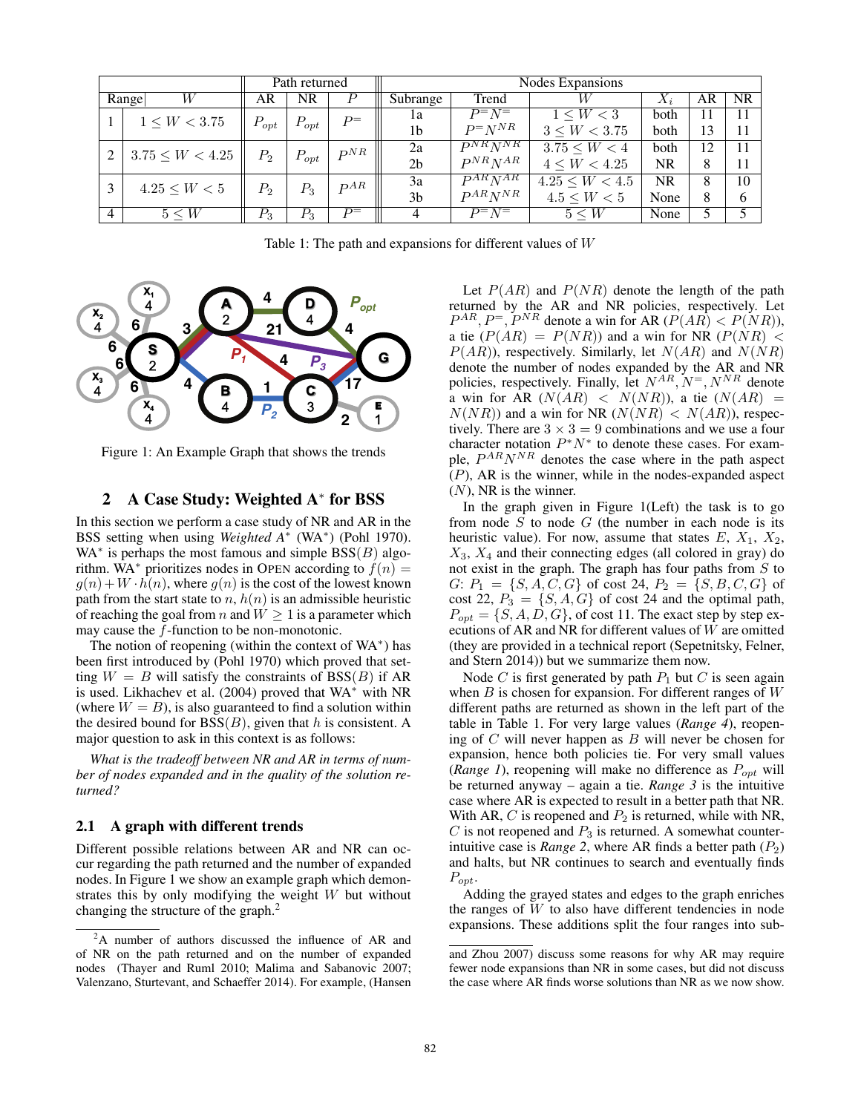|                |                      | Path returned |           |          | Nodes Expansions |                       |                      |       |    |           |  |  |
|----------------|----------------------|---------------|-----------|----------|------------------|-----------------------|----------------------|-------|----|-----------|--|--|
| W<br>Range     |                      | AR            | NR        | Р        | Subrange         | Trend                 |                      | $X_i$ | AR | <b>NR</b> |  |  |
|                | $1 \leq W < 3.75$    | $P_{opt}$     | $P_{opt}$ | $P=$     | 1a               | $P^=N^-$              | $1 \leq W < 3$       | both  | 11 | 11        |  |  |
|                |                      |               |           |          | 1b               | $P = N^{NR}$          | $3 \leq W < 3.75$    | both  | 13 | 11        |  |  |
|                | $3.75 \leq W < 4.25$ | $P_2$         | $P_{opt}$ | $P^{NR}$ | 2a               | $PNR$ <sub>N</sub> NR | $3.75 \leq W \leq 4$ | both  | 12 | 11        |  |  |
|                |                      |               |           |          | 2 <sub>b</sub>   | $P^{NR}N^{AR}$        | $4 \leq W < 4.25$    | NR    | 8  | 11        |  |  |
|                | $4.25 \leq W < 5$    | $P_2$         | $P_3$     | DAR      | 3a               | $P^{AR}N^{AR}$        | $4.25 \leq W < 4.5$  | NR.   | 8  | 10        |  |  |
|                |                      |               |           |          | 3 <sub>b</sub>   | $P^{AR}N^{NR}$        | $4.5 \leq W < 5$     | None  | 8  | 6         |  |  |
| $\overline{4}$ | $5 \leq W$           | $P_3$         | $P_3$     | $p=$     | $\overline{4}$   | $\overline{P} = N =$  | $5 \leq W$           | None  |    |           |  |  |

Table 1: The path and expansions for different values of W



Figure 1: An Example Graph that shows the trends

#### 2 A Case Study: Weighted A<sup>∗</sup> for BSS

In this section we perform a case study of NR and AR in the BSS setting when using *Weighted A*<sup>∗</sup> (WA∗) (Pohl 1970). WA<sup> $*$ </sup> is perhaps the most famous and simple  $BSS(B)$  algorithm. WA<sup>\*</sup> prioritizes nodes in OPEN according to  $f(n) =$  $g(n)$  + W  $\cdot$   $h(n)$ , where  $g(n)$  is the cost of the lowest known path from the start state to  $n, h(n)$  is an admissible heuristic of reaching the goal from n and  $W \geq 1$  is a parameter which may cause the f-function to be non-monotonic.

The notion of reopening (within the context of  $WA^*$ ) has been first introduced by (Pohl 1970) which proved that setting  $W = B$  will satisfy the constraints of BSS(B) if AR is used. Likhachev et al. (2004) proved that WA<sup>∗</sup> with NR (where  $W = B$ ), is also guaranteed to find a solution within the desired bound for  $BSS(B)$ , given that h is consistent. A major question to ask in this context is as follows:

*What is the tradeoff between NR and AR in terms of number of nodes expanded and in the quality of the solution returned?*

#### 2.1 A graph with different trends

Different possible relations between AR and NR can occur regarding the path returned and the number of expanded nodes. In Figure 1 we show an example graph which demonstrates this by only modifying the weight W but without changing the structure of the graph.<sup>2</sup>

Let  $P(AR)$  and  $P(NR)$  denote the length of the path returned by the AR and NR policies, respectively. Let  $P^{AR}$ ,  $P^=$ ,  $P^{NR}$  denote a win for AR ( $P(AR) < P(NR)$ ), a tie  $(P(AR) = P(NR))$  and a win for NR  $(P(NR) <$  $P(AR)$ , respectively. Similarly, let  $N(AR)$  and  $N(NR)$ denote the number of nodes expanded by the AR and NR policies, respectively. Finally, let  $N^{AR}$ ,  $N^{=}$ ,  $N^{NR}$  denote a win for AR  $(N(AR) < N(NR))$ , a tie  $(N(AR)) =$  $N(NR)$ ) and a win for NR  $(N(NR) < N(AR))$ , respectively. There are  $3 \times 3 = 9$  combinations and we use a four character notation  $P^*N^*$  to denote these cases. For example,  $P^{AR}N^{NR}$  denotes the case where in the path aspect  $(P)$ , AR is the winner, while in the nodes-expanded aspect  $(N)$ , NR is the winner.

In the graph given in Figure 1(Left) the task is to go from node  $S$  to node  $G$  (the number in each node is its heuristic value). For now, assume that states  $E, X_1, X_2,$  $X_3$ ,  $X_4$  and their connecting edges (all colored in gray) do not exist in the graph. The graph has four paths from  $S$  to  $G: P_1 = \{S, A, C, G\}$  of cost 24,  $P_2 = \{S, B, C, G\}$  of cost 22,  $P_3 = \{S, A, G\}$  of cost 24 and the optimal path,  $P_{opt} = \{S, A, D, G\}$ , of cost 11. The exact step by step executions of AR and NR for different values of W are omitted (they are provided in a technical report (Sepetnitsky, Felner, and Stern 2014)) but we summarize them now.

Node C is first generated by path  $P_1$  but C is seen again when  $B$  is chosen for expansion. For different ranges of  $W$ different paths are returned as shown in the left part of the table in Table 1. For very large values (*Range 4*), reopening of  $C$  will never happen as  $B$  will never be chosen for expansion, hence both policies tie. For very small values (*Range 1*), reopening will make no difference as  $P_{opt}$  will be returned anyway – again a tie. *Range 3* is the intuitive case where AR is expected to result in a better path that NR. With AR, C is reopened and  $P_2$  is returned, while with NR,  $C$  is not reopened and  $P_3$  is returned. A somewhat counterintuitive case is *Range 2*, where AR finds a better path  $(P_2)$ and halts, but NR continues to search and eventually finds  $P_{opt}.$ 

Adding the grayed states and edges to the graph enriches the ranges of  $W$  to also have different tendencies in node expansions. These additions split the four ranges into sub-

<sup>&</sup>lt;sup>2</sup>A number of authors discussed the influence of AR and of NR on the path returned and on the number of expanded nodes (Thayer and Ruml 2010; Malima and Sabanovic 2007; Valenzano, Sturtevant, and Schaeffer 2014). For example, (Hansen

and Zhou 2007) discuss some reasons for why AR may require fewer node expansions than NR in some cases, but did not discuss the case where AR finds worse solutions than NR as we now show.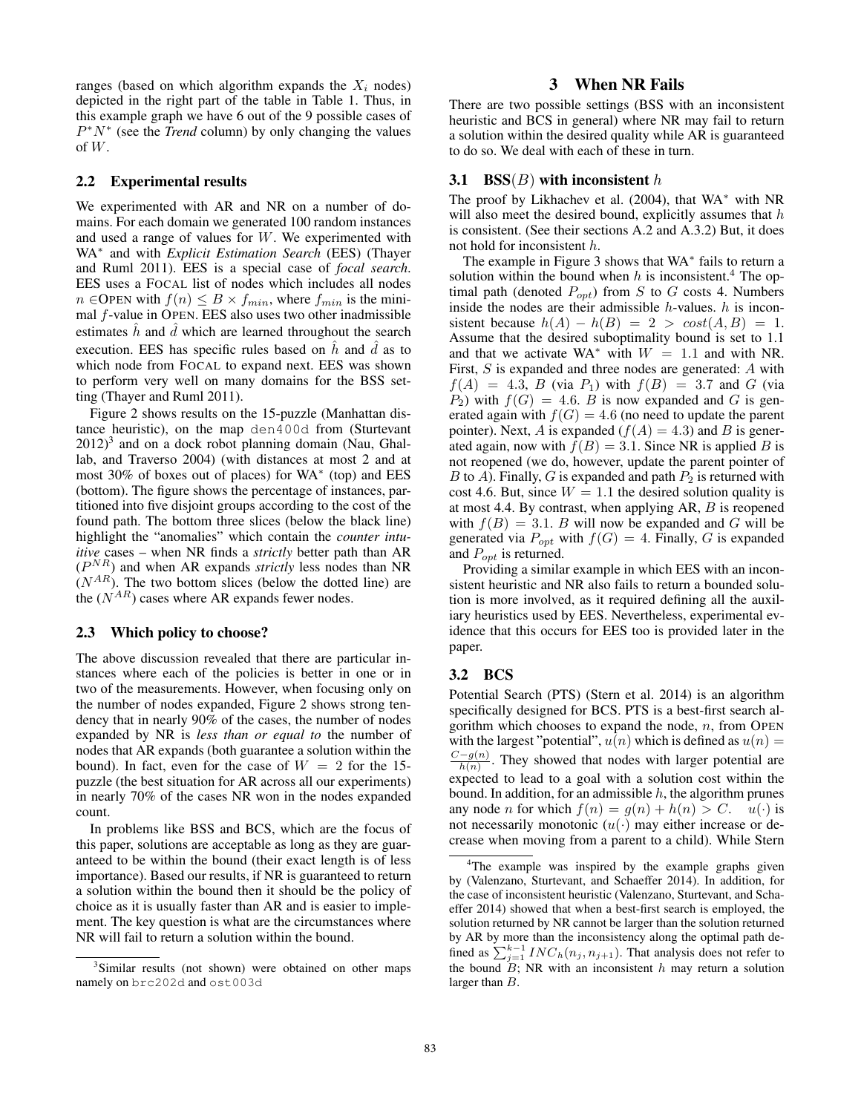ranges (based on which algorithm expands the  $X_i$  nodes) depicted in the right part of the table in Table 1. Thus, in this example graph we have 6 out of the 9 possible cases of P∗N<sup>∗</sup> (see the *Trend* column) by only changing the values of  $W$ .

#### 2.2 Experimental results

We experimented with AR and NR on a number of domains. For each domain we generated 100 random instances and used a range of values for W. We experimented with WA<sup>∗</sup> and with *Explicit Estimation Search* (EES) (Thayer and Ruml 2011). EES is a special case of *focal search*. EES uses a FOCAL list of nodes which includes all nodes  $n \in \text{OPEN with } f(n) \leq B \times f_{min}$ , where  $f_{min}$  is the minimal f-value in OPEN. EES also uses two other inadmissible estimates  $\hat{h}$  and  $\hat{d}$  which are learned throughout the search execution. EES has specific rules based on  $\hat{h}$  and  $\hat{d}$  as to which node from FOCAL to expand next. EES was shown to perform very well on many domains for the BSS setting (Thayer and Ruml 2011).

Figure 2 shows results on the 15-puzzle (Manhattan distance heuristic), on the map den400d from (Sturtevant  $2012$ <sup>3</sup> and on a dock robot planning domain (Nau, Ghallab, and Traverso 2004) (with distances at most 2 and at most 30% of boxes out of places) for WA<sup>∗</sup> (top) and EES (bottom). The figure shows the percentage of instances, partitioned into five disjoint groups according to the cost of the found path. The bottom three slices (below the black line) highlight the "anomalies" which contain the *counter intuitive* cases – when NR finds a *strictly* better path than AR  $(P<sup>NR</sup>)$  and when AR expands *strictly* less nodes than NR  $(N^{AR})$ . The two bottom slices (below the dotted line) are the  $(N^{AR})$  cases where AR expands fewer nodes.

#### 2.3 Which policy to choose?

The above discussion revealed that there are particular instances where each of the policies is better in one or in two of the measurements. However, when focusing only on the number of nodes expanded, Figure 2 shows strong tendency that in nearly 90% of the cases, the number of nodes expanded by NR is *less than or equal to* the number of nodes that AR expands (both guarantee a solution within the bound). In fact, even for the case of  $W = 2$  for the 15puzzle (the best situation for AR across all our experiments) in nearly 70% of the cases NR won in the nodes expanded count.

In problems like BSS and BCS, which are the focus of this paper, solutions are acceptable as long as they are guaranteed to be within the bound (their exact length is of less importance). Based our results, if NR is guaranteed to return a solution within the bound then it should be the policy of choice as it is usually faster than AR and is easier to implement. The key question is what are the circumstances where NR will fail to return a solution within the bound.

## 3 When NR Fails

There are two possible settings (BSS with an inconsistent heuristic and BCS in general) where NR may fail to return a solution within the desired quality while AR is guaranteed to do so. We deal with each of these in turn.

#### 3.1 BSS $(B)$  with inconsistent h

The proof by Likhachev et al. (2004), that WA∗ with NR will also meet the desired bound, explicitly assumes that  $h$ is consistent. (See their sections A.2 and A.3.2) But, it does not hold for inconsistent h.

The example in Figure 3 shows that WA<sup>∗</sup> fails to return a solution within the bound when h is inconsistent.<sup>4</sup> The optimal path (denoted  $P_{opt}$ ) from S to G costs 4. Numbers inside the nodes are their admissible  $h$ -values.  $h$  is inconsistent because  $h(A) - h(B) = 2 > \cos(t(A, B)) = 1$ . Assume that the desired suboptimality bound is set to 1.1 and that we activate  $WA^*$  with  $W = 1.1$  and with NR. First, S is expanded and three nodes are generated: A with  $f(A) = 4.3$ , B (via  $P_1$ ) with  $f(B) = 3.7$  and G (via  $P_2$ ) with  $f(G)=4.6$ . B is now expanded and G is generated again with  $f(G)=4.6$  (no need to update the parent pointer). Next, A is expanded ( $f(A)=4.3$ ) and B is generated again, now with  $f(B)=3.1$ . Since NR is applied B is not reopened (we do, however, update the parent pointer of B to A). Finally, G is expanded and path  $P_2$  is returned with cost 4.6. But, since  $W = 1.1$  the desired solution quality is at most 4.4. By contrast, when applying AR, B is reopened with  $f(B)=3.1$ . B will now be expanded and G will be generated via  $P_{opt}$  with  $f(G)=4$ . Finally, G is expanded and  $P_{opt}$  is returned.

Providing a similar example in which EES with an inconsistent heuristic and NR also fails to return a bounded solution is more involved, as it required defining all the auxiliary heuristics used by EES. Nevertheless, experimental evidence that this occurs for EES too is provided later in the paper.

#### 3.2 BCS

Potential Search (PTS) (Stern et al. 2014) is an algorithm specifically designed for BCS. PTS is a best-first search algorithm which chooses to expand the node,  $n$ , from OPEN with the largest "potential",  $u(n)$  which is defined as  $u(n) =$  $\frac{C-g(n)}{h(n)}$ . They showed that nodes with larger potential are expected to lead to a goal with a solution cost within the bound. In addition, for an admissible  $h$ , the algorithm prunes any node *n* for which  $f(n) = g(n) + h(n) > C$ .  $u(\cdot)$  is not necessarily monotonic  $(u(\cdot))$  may either increase or decrease when moving from a parent to a child). While Stern

<sup>&</sup>lt;sup>3</sup>Similar results (not shown) were obtained on other maps namely on brc202d and ost003d

<sup>&</sup>lt;sup>4</sup>The example was inspired by the example graphs given by (Valenzano, Sturtevant, and Schaeffer 2014). In addition, for the case of inconsistent heuristic (Valenzano, Sturtevant, and Schaeffer 2014) showed that when a best-first search is employed, the solution returned by NR cannot be larger than the solution returned by AR by more than the inconsistency along the optimal path defined as  $\sum_{j=1}^{k-1} INC_h(n_j, n_{j+1})$ . That analysis does not refer to the bound  $\tilde{B}$ ; NR with an inconsistent h may return a solution larger than B.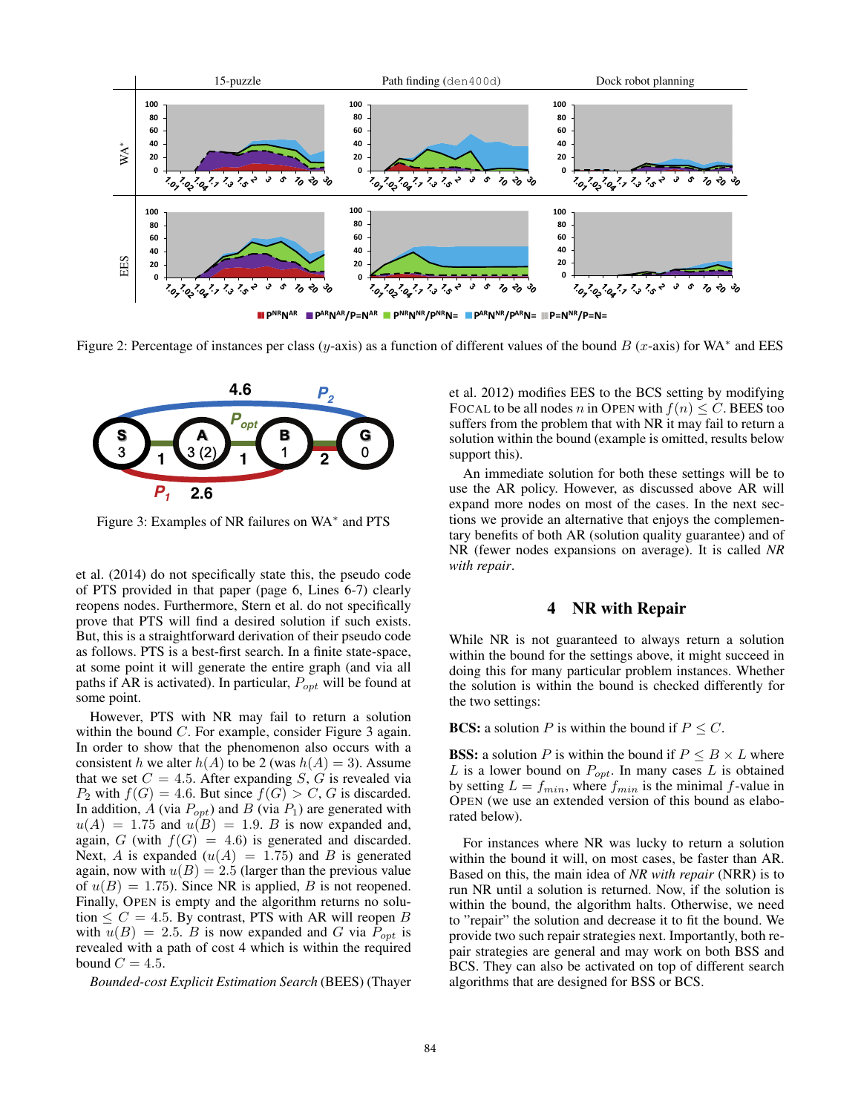

Figure 2: Percentage of instances per class (y-axis) as a function of different values of the bound B (x-axis) for WA<sup>∗</sup> and EES



Figure 3: Examples of NR failures on WA<sup>∗</sup> and PTS

et al. (2014) do not specifically state this, the pseudo code of PTS provided in that paper (page 6, Lines 6-7) clearly reopens nodes. Furthermore, Stern et al. do not specifically prove that PTS will find a desired solution if such exists. But, this is a straightforward derivation of their pseudo code as follows. PTS is a best-first search. In a finite state-space, at some point it will generate the entire graph (and via all paths if AR is activated). In particular,  $P_{opt}$  will be found at some point.

However, PTS with NR may fail to return a solution within the bound C. For example, consider Figure 3 again. In order to show that the phenomenon also occurs with a consistent h we alter  $h(A)$  to be 2 (was  $h(A)=3$ ). Assume that we set  $C = 4.5$ . After expanding S, G is revealed via  $P_2$  with  $f(G)=4.6$ . But since  $f(G) > C$ , G is discarded. In addition,  $A$  (via  $P_{opt}$ ) and  $B$  (via  $P_1$ ) are generated with  $u(A)=1.75$  and  $u(B)=1.9$ . B is now expanded and, again, G (with  $f(G) = 4.6$ ) is generated and discarded. Next, A is expanded  $(u(A) = 1.75)$  and B is generated again, now with  $u(B)=2.5$  (larger than the previous value of  $u(B)=1.75$ ). Since NR is applied, B is not reopened. Finally, OPEN is empty and the algorithm returns no solution  $\leq C = 4.5$ . By contrast, PTS with AR will reopen B with  $u(B)=2.5$ . B is now expanded and G via  $P_{opt}$  is revealed with a path of cost 4 which is within the required bound  $C = 4.5$ .

*Bounded-cost Explicit Estimation Search* (BEES) (Thayer

et al. 2012) modifies EES to the BCS setting by modifying FOCAL to be all nodes n in OPEN with  $f(n) \leq C$ . BEES too suffers from the problem that with NR it may fail to return a solution within the bound (example is omitted, results below support this).

An immediate solution for both these settings will be to use the AR policy. However, as discussed above AR will expand more nodes on most of the cases. In the next sections we provide an alternative that enjoys the complementary benefits of both AR (solution quality guarantee) and of NR (fewer nodes expansions on average). It is called *NR with repair*.

#### 4 NR with Repair

While NR is not guaranteed to always return a solution within the bound for the settings above, it might succeed in doing this for many particular problem instances. Whether the solution is within the bound is checked differently for the two settings:

**BCS:** a solution P is within the bound if  $P \leq C$ .

**BSS:** a solution P is within the bound if  $P \leq B \times L$  where  $L$  is a lower bound on  $P_{opt}$ . In many cases  $L$  is obtained by setting  $L = f_{min}$ , where  $f_{min}$  is the minimal f-value in OPEN (we use an extended version of this bound as elaborated below).

For instances where NR was lucky to return a solution within the bound it will, on most cases, be faster than AR. Based on this, the main idea of *NR with repair* (NRR) is to run NR until a solution is returned. Now, if the solution is within the bound, the algorithm halts. Otherwise, we need to "repair" the solution and decrease it to fit the bound. We provide two such repair strategies next. Importantly, both repair strategies are general and may work on both BSS and BCS. They can also be activated on top of different search algorithms that are designed for BSS or BCS.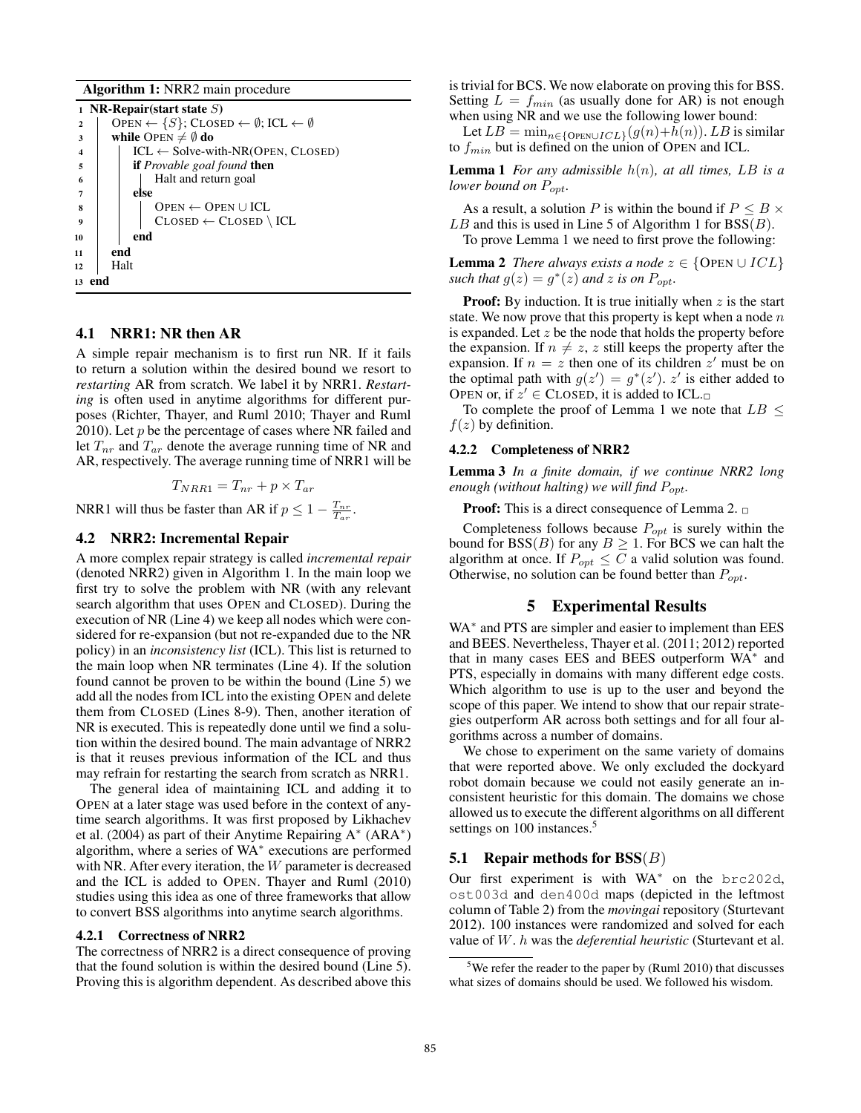Algorithm 1: NRR2 main procedure

```
1 NR-Repair(start state S)
2 OPEN \leftarrow \{S\}; CLOSED \leftarrow \emptyset; ICL \leftarrow \emptyset<br>3 while Open \neq \emptyset do
3 while OPEN \neq \emptyset do<br>4 | ICL \leftarrow Solve-w
4 ICL \leftarrow Solve-with-NR(OPEN, CLOSED)<br>
if Provable goal found then
                      if Provable goal found then
6 Halt and return goal
7 | else
\begin{array}{c|c|c} \mathbf{s} & \mathbf{0} & \mathbf{0} & \mathbf{0} & \mathbf{0} \\ \mathbf{0} & \mathbf{0} & \mathbf{0} & \mathbf{0} & \mathbf{0} \\ \mathbf{0} & \mathbf{0} & \mathbf{0} & \mathbf{0} & \mathbf{0} \end{array}\begin{array}{c|c} \mathbf{9} & \mathbf{10} \\ \mathbf{10} & \mathbf{10} \end{array} CLOSED \leftarrow CLOSED \ ICL
                      end
11 end
12 Halt
13 end
```
#### 4.1 NRR1: NR then AR

A simple repair mechanism is to first run NR. If it fails to return a solution within the desired bound we resort to *restarting* AR from scratch. We label it by NRR1. *Restarting* is often used in anytime algorithms for different purposes (Richter, Thayer, and Ruml 2010; Thayer and Ruml 2010). Let  $p$  be the percentage of cases where NR failed and let  $T_{nr}$  and  $T_{ar}$  denote the average running time of NR and AR, respectively. The average running time of NRR1 will be

$$
T_{NRR1} = T_{nr} + p \times T_{ar}
$$

NRR1 will thus be faster than AR if  $p \leq 1 - \frac{T_{nr}}{T_{ar}}$ .

#### 4.2 NRR2: Incremental Repair

A more complex repair strategy is called *incremental repair* (denoted NRR2) given in Algorithm 1. In the main loop we first try to solve the problem with NR (with any relevant search algorithm that uses OPEN and CLOSED). During the execution of NR (Line 4) we keep all nodes which were considered for re-expansion (but not re-expanded due to the NR policy) in an *inconsistency list* (ICL). This list is returned to the main loop when NR terminates (Line 4). If the solution found cannot be proven to be within the bound (Line 5) we add all the nodes from ICL into the existing OPEN and delete them from CLOSED (Lines 8-9). Then, another iteration of NR is executed. This is repeatedly done until we find a solution within the desired bound. The main advantage of NRR2 is that it reuses previous information of the ICL and thus may refrain for restarting the search from scratch as NRR1.

The general idea of maintaining ICL and adding it to OPEN at a later stage was used before in the context of anytime search algorithms. It was first proposed by Likhachev et al. (2004) as part of their Anytime Repairing A<sup>∗</sup> (ARA∗) algorithm, where a series of WA<sup>∗</sup> executions are performed with NR. After every iteration, the  $W$  parameter is decreased and the ICL is added to OPEN. Thayer and Ruml (2010) studies using this idea as one of three frameworks that allow to convert BSS algorithms into anytime search algorithms.

#### 4.2.1 Correctness of NRR2

The correctness of NRR2 is a direct consequence of proving that the found solution is within the desired bound (Line 5). Proving this is algorithm dependent. As described above this

is trivial for BCS. We now elaborate on proving this for BSS. Setting  $L = f_{min}$  (as usually done for AR) is not enough when using NR and we use the following lower bound:

Let  $LB = \min_{n \in \{O\} \in I} (g(n)+h(n))$ . LB is similar to  $f_{min}$  but is defined on the union of OPEN and ICL.

**Lemma 1** *For any admissible*  $h(n)$ *, at all times, LB is a lower bound on*  $P_{opt}$ *.* 

As a result, a solution P is within the bound if  $P \leq B \times$  $LB$  and this is used in Line 5 of Algorithm 1 for  $BSS(B)$ . To prove Lemma 1 we need to first prove the following:

**Lemma 2** *There always exists a node*  $z \in \{$  OPEN  $\cup$  *ICL* $\}$ *such that*  $g(z) = g^*(z)$  *and z is on*  $P_{opt}$ .

**Proof:** By induction. It is true initially when  $z$  is the start state. We now prove that this property is kept when a node  $n$ is expanded. Let  $z$  be the node that holds the property before the expansion. If  $n \neq z$ , z still keeps the property after the expansion. If  $n = z$  then one of its children  $z'$  must be on the optimal path with  $g(z') = g^*(z')$ . z' is either added to OPEN or, if  $z' \in$  CLOSED, it is added to ICL. $\Box$ 

To complete the proof of Lemma 1 we note that  $LB \leq$  $f(z)$  by definition.

#### 4.2.2 Completeness of NRR2

Lemma 3 *In a finite domain, if we continue NRR2 long enough (without halting) we will find*  $P_{opt}$ *.* 

**Proof:** This is a direct consequence of Lemma 2.  $\Box$ 

Completeness follows because  $P_{opt}$  is surely within the bound for BSS(B) for any  $B \ge 1$ . For BCS we can halt the algorithm at once. If  $P_{opt} \leq C$  a valid solution was found. Otherwise, no solution can be found better than  $P_{\text{out}}$ .

#### 5 Experimental Results

WA<sup>\*</sup> and PTS are simpler and easier to implement than EES and BEES. Nevertheless, Thayer et al. (2011; 2012) reported that in many cases EES and BEES outperform WA<sup>∗</sup> and PTS, especially in domains with many different edge costs. Which algorithm to use is up to the user and beyond the scope of this paper. We intend to show that our repair strategies outperform AR across both settings and for all four algorithms across a number of domains.

We chose to experiment on the same variety of domains that were reported above. We only excluded the dockyard robot domain because we could not easily generate an inconsistent heuristic for this domain. The domains we chose allowed us to execute the different algorithms on all different settings on 100 instances.<sup>5</sup>

#### **5.1** Repair methods for  $BSS(B)$

Our first experiment is with WA<sup>∗</sup> on the brc202d, ost003d and den400d maps (depicted in the leftmost column of Table 2) from the *movingai* repository (Sturtevant 2012). 100 instances were randomized and solved for each value of W. h was the *deferential heuristic* (Sturtevant et al.

<sup>&</sup>lt;sup>5</sup>We refer the reader to the paper by (Ruml 2010) that discusses what sizes of domains should be used. We followed his wisdom.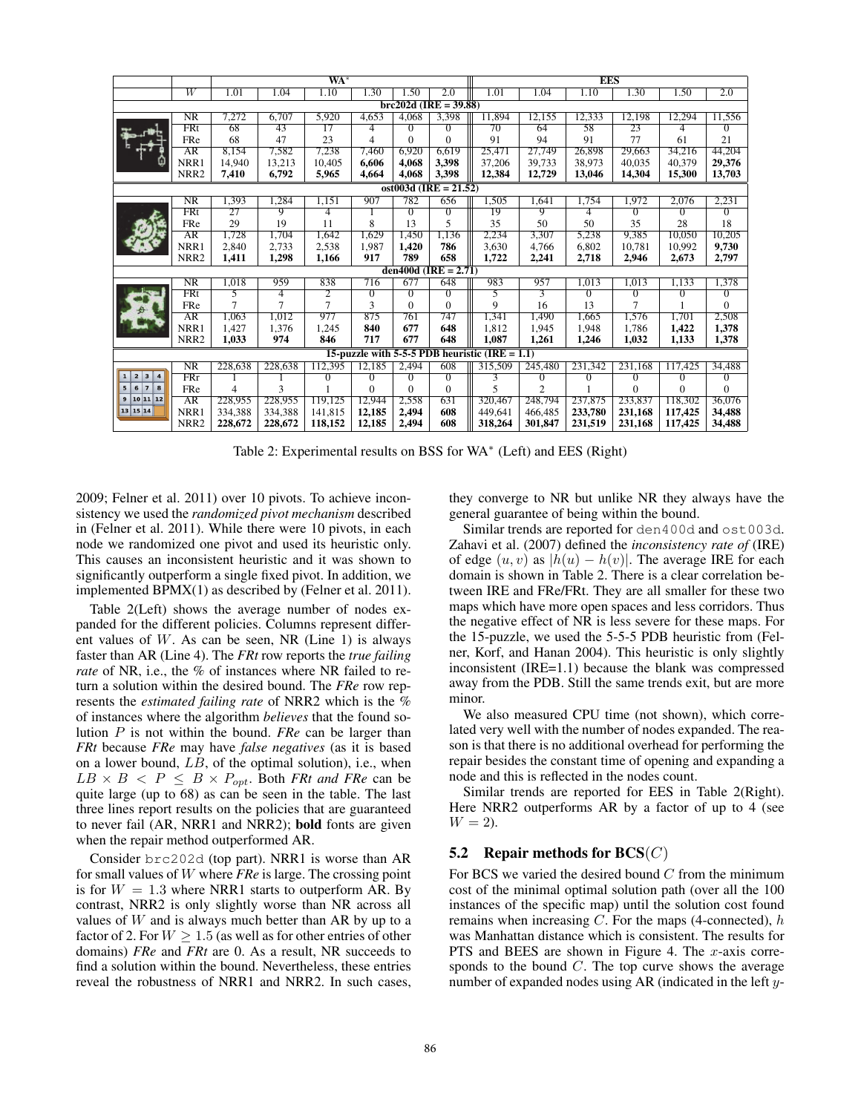|                                                                         |                  |         |         | $WA^*$         |          |          | <b>EES</b>     |         |                           |         |          |          |              |
|-------------------------------------------------------------------------|------------------|---------|---------|----------------|----------|----------|----------------|---------|---------------------------|---------|----------|----------|--------------|
|                                                                         | $\overline{W}$   | 1.01    | 1.04    | 1.10           | 1.30     | 1.50     | 2.0            | 1.01    | 1.04                      | 1.10    | 1.30     | 1.50     | 2.0          |
| $brc202d$ (IRE = 39.88)                                                 |                  |         |         |                |          |          |                |         |                           |         |          |          |              |
|                                                                         | NR               | 7,272   | 6,707   | 5,920          | 4,653    | 4,068    | 3,398          | 11,894  | 12,155                    | 12,333  | 12,198   | 12,294   | 11,556       |
|                                                                         | FRt              | 68      | 43      | 17             | 4        | 0        | $\Omega$       | 70      | 64                        | 58      | 23       | 4        | $\Omega$     |
|                                                                         | FRe              | 68      | 47      | 23             | 4        | $\Omega$ | $\Omega$       | 91      | 94                        | 91      | 77       | 61       | 21           |
|                                                                         | AR               | 8.154   | 7,582   | 7,238          | 7.460    | 6.920    | 6.619          | 25.471  | 27.749                    | 26.898  | 29.663   | 34.216   | 44,204       |
|                                                                         | NRR1             | 14.940  | 13.213  | 10.405         | 6.606    | 4.068    | 3,398          | 37.206  | 39.733                    | 38.973  | 40.035   | 40,379   | 29,376       |
|                                                                         | NRR <sub>2</sub> | 7,410   | 6,792   | 5,965          | 4,664    | 4,068    | 3,398          | 12,384  | 12,729                    | 13,046  | 14,304   | 15,300   | 13,703       |
| ost003d (IRE = $21.52$ )                                                |                  |         |         |                |          |          |                |         |                           |         |          |          |              |
|                                                                         | NR               | 1,393   | 1,284   | 1,151          | 907      | 782      | 656            | 1,505   | 1,641                     | 1,754   | 1,972    | 2,076    | 2,231        |
|                                                                         | FRt              | 27      | 9       | 4              |          | 0        | $\overline{0}$ | 19      | 9                         | 4       | 0        | $\Omega$ | 0            |
|                                                                         | FRe              | 29      | 19      | 11             | 8        | 13       | 5              | 35      | 50                        | 50      | 35       | 28       | 18           |
|                                                                         | AR               | 1,728   | 1,704   | 1,642          | 1,629    | 1,450    | 1,136          | 2,234   | 3,307                     | 5,238   | 9,385    | 10,050   | 10,205       |
|                                                                         | NRR1             | 2,840   | 2,733   | 2,538          | 1,987    | 1,420    | 786            | 3,630   | 4,766                     | 6,802   | 10,781   | 10,992   | 9,730        |
|                                                                         | NRR <sub>2</sub> | 1,411   | 1,298   | 1,166          | 917      | 789      | 658            | 1,722   | 2,241                     | 2,718   | 2,946    | 2,673    | 2,797        |
| den400d (IRE = $2.71$ )                                                 |                  |         |         |                |          |          |                |         |                           |         |          |          |              |
|                                                                         | NR               | 1,018   | 959     | 838            | 716      | 677      | 648            | 983     | 957                       | 1,013   | 1,013    | 1,133    | 1,378        |
|                                                                         | FRt              | 5       | 4       | $\overline{2}$ | 0        | 0        | $\mathbf{0}$   | 5       | $\overline{\overline{3}}$ | 0       | 0        | 0        | 0            |
|                                                                         | FRe              | 7       | 7       | $\overline{7}$ | 3        | $\Omega$ | $\Omega$       | 9       | 16                        | 13      | 7        |          | $\Omega$     |
|                                                                         | AR               | 1,063   | 1,012   | 977            | 875      | 761      | 747            | 1,341   | 1,490                     | 1,665   | 1,576    | 1,701    | 2,508        |
|                                                                         | NRR1             | 1,427   | 1,376   | 1,245          | 840      | 677      | 648            | 1,812   | 1.945                     | 1,948   | 1,786    | 1,422    | 1,378        |
|                                                                         | NRR <sub>2</sub> | 1,033   | 974     | 846            | 717      | 677      | 648            | 1,087   | 1,261                     | 1,246   | 1,032    | 1,133    | 1,378        |
| 15-puzzle with 5-5-5 PDB heuristic (IRE $= 1.1$ )                       |                  |         |         |                |          |          |                |         |                           |         |          |          |              |
|                                                                         | NR               | 228,638 | 228,638 | 112,395        | 12,185   | 2,494    | 608            | 315,509 | 245,480                   | 231,342 | 231,168  | 117,425  | 34,488       |
| $\overline{\mathbf{2}}$<br>1<br>$\overline{\mathbf{4}}$<br>$\mathbf{3}$ | FRr              |         |         | $^{0}$         | 0        | 0        | $\overline{0}$ | 3       | $^{(1)}$                  | 0       | 0        | 0        | $\mathbf{0}$ |
| 5 <sup>1</sup><br>6<br>$\overline{7}$<br>8                              | FRe              | 4       | 3       |                | $\theta$ | $\Omega$ | $\theta$       | 5       | $\overline{c}$            |         | $\Omega$ | $\Omega$ | $\Omega$     |
| $9$ 10 11 12                                                            | AR               | 228,955 | 228,955 | 119.125        | 12,944   | 2,558    | 631            | 320,467 | 248,794                   | 237,875 | 233,837  | 118,302  | 36.076       |
| 13 15 14                                                                | NRR1             | 334,388 | 334.388 | 141,815        | 12.185   | 2.494    | 608            | 449.641 | 466,485                   | 233,780 | 231.168  | 117,425  | 34,488       |
|                                                                         | NRR <sub>2</sub> | 228,672 | 228,672 | 118,152        | 12,185   | 2,494    | 608            | 318,264 | 301,847                   | 231,519 | 231,168  | 117,425  | 34,488       |

Table 2: Experimental results on BSS for WA<sup>∗</sup> (Left) and EES (Right)

2009; Felner et al. 2011) over 10 pivots. To achieve inconsistency we used the *randomized pivot mechanism* described in (Felner et al. 2011). While there were 10 pivots, in each node we randomized one pivot and used its heuristic only. This causes an inconsistent heuristic and it was shown to significantly outperform a single fixed pivot. In addition, we implemented BPMX(1) as described by (Felner et al. 2011).

Table 2(Left) shows the average number of nodes expanded for the different policies. Columns represent different values of  $W$ . As can be seen, NR (Line 1) is always faster than AR (Line 4). The *FRt* row reports the *true failing rate* of NR, i.e., the % of instances where NR failed to return a solution within the desired bound. The *FRe* row represents the *estimated failing rate* of NRR2 which is the % of instances where the algorithm *believes* that the found solution P is not within the bound. *FRe* can be larger than *FRt* because *FRe* may have *false negatives* (as it is based on a lower bound, LB, of the optimal solution), i.e., when  $LB \times B \leq P \leq B \times P_{opt}$ . Both *FRt and FRe* can be quite large (up to 68) as can be seen in the table. The last three lines report results on the policies that are guaranteed to never fail (AR, NRR1 and NRR2); bold fonts are given when the repair method outperformed AR.

Consider brc202d (top part). NRR1 is worse than AR for small values of W where *FRe* is large. The crossing point is for  $W = 1.3$  where NRR1 starts to outperform AR. By contrast, NRR2 is only slightly worse than NR across all values of  $W$  and is always much better than AR by up to a factor of 2. For  $W \ge 1.5$  (as well as for other entries of other domains) *FRe* and *FRt* are 0. As a result, NR succeeds to find a solution within the bound. Nevertheless, these entries reveal the robustness of NRR1 and NRR2. In such cases, they converge to NR but unlike NR they always have the general guarantee of being within the bound.

Similar trends are reported for den400d and ost003d. Zahavi et al. (2007) defined the *inconsistency rate of* (IRE) of edge  $(u, v)$  as  $|h(u) - h(v)|$ . The average IRE for each domain is shown in Table 2. There is a clear correlation between IRE and FRe/FRt. They are all smaller for these two maps which have more open spaces and less corridors. Thus the negative effect of NR is less severe for these maps. For the 15-puzzle, we used the 5-5-5 PDB heuristic from (Felner, Korf, and Hanan 2004). This heuristic is only slightly inconsistent (IRE=1.1) because the blank was compressed away from the PDB. Still the same trends exit, but are more minor.

We also measured CPU time (not shown), which correlated very well with the number of nodes expanded. The reason is that there is no additional overhead for performing the repair besides the constant time of opening and expanding a node and this is reflected in the nodes count.

Similar trends are reported for EES in Table 2(Right). Here NRR2 outperforms AR by a factor of up to 4 (see  $W = 2$ .

#### 5.2 Repair methods for  $\mathbf{BCS}(C)$

For BCS we varied the desired bound  $C$  from the minimum cost of the minimal optimal solution path (over all the 100 instances of the specific map) until the solution cost found remains when increasing  $C$ . For the maps (4-connected),  $h$ was Manhattan distance which is consistent. The results for PTS and BEES are shown in Figure 4. The  $x$ -axis corresponds to the bound  $C$ . The top curve shows the average number of expanded nodes using AR (indicated in the left y-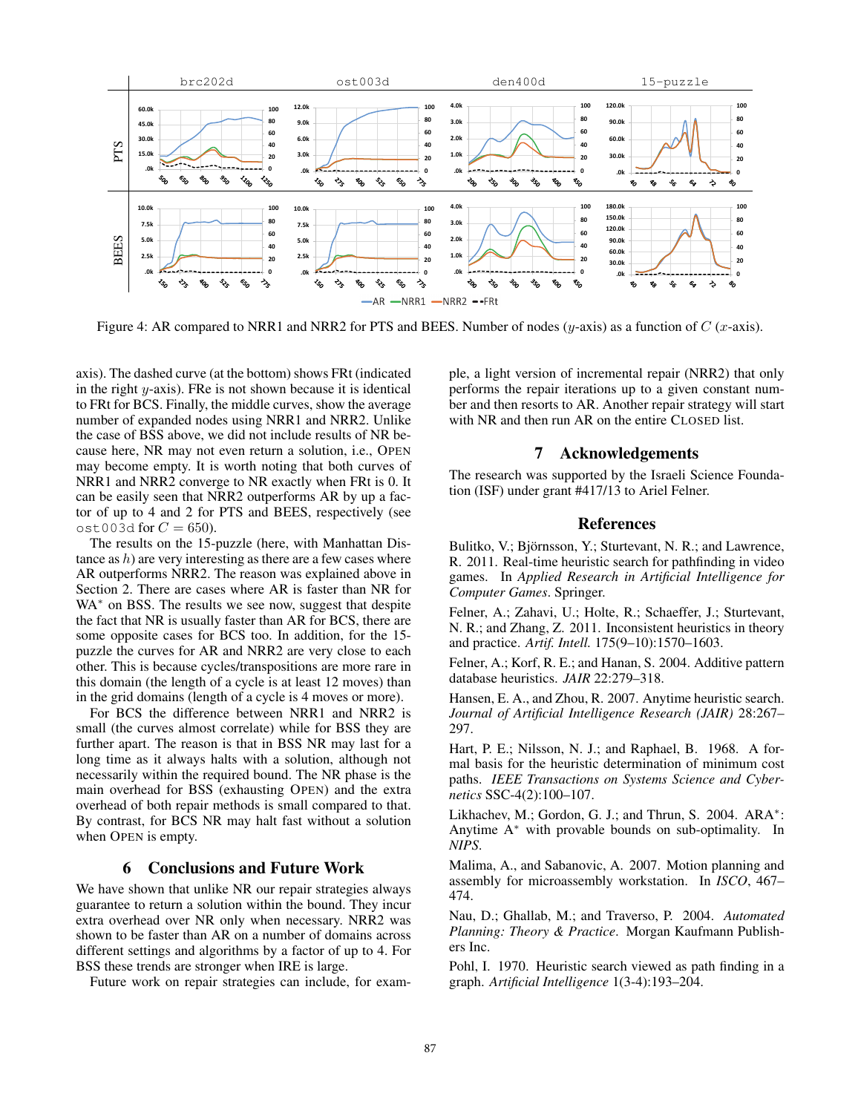

Figure 4: AR compared to NRR1 and NRR2 for PTS and BEES. Number of nodes  $(y\text{-axis})$  as a function of  $C$  (x-axis).

axis). The dashed curve (at the bottom) shows FRt (indicated in the right  $y$ -axis). FRe is not shown because it is identical to FRt for BCS. Finally, the middle curves, show the average number of expanded nodes using NRR1 and NRR2. Unlike the case of BSS above, we did not include results of NR because here, NR may not even return a solution, i.e., OPEN may become empty. It is worth noting that both curves of NRR1 and NRR2 converge to NR exactly when FRt is 0. It can be easily seen that NRR2 outperforms AR by up a factor of up to 4 and 2 for PTS and BEES, respectively (see ost003d for  $C = 650$ ).

The results on the 15-puzzle (here, with Manhattan Distance as  $h$ ) are very interesting as there are a few cases where AR outperforms NRR2. The reason was explained above in Section 2. There are cases where AR is faster than NR for WA<sup>\*</sup> on BSS. The results we see now, suggest that despite the fact that NR is usually faster than AR for BCS, there are some opposite cases for BCS too. In addition, for the 15 puzzle the curves for AR and NRR2 are very close to each other. This is because cycles/transpositions are more rare in this domain (the length of a cycle is at least 12 moves) than in the grid domains (length of a cycle is 4 moves or more).

For BCS the difference between NRR1 and NRR2 is small (the curves almost correlate) while for BSS they are further apart. The reason is that in BSS NR may last for a long time as it always halts with a solution, although not necessarily within the required bound. The NR phase is the main overhead for BSS (exhausting OPEN) and the extra overhead of both repair methods is small compared to that. By contrast, for BCS NR may halt fast without a solution when OPEN is empty.

#### 6 Conclusions and Future Work

We have shown that unlike NR our repair strategies always guarantee to return a solution within the bound. They incur extra overhead over NR only when necessary. NRR2 was shown to be faster than AR on a number of domains across different settings and algorithms by a factor of up to 4. For BSS these trends are stronger when IRE is large.

Future work on repair strategies can include, for exam-

ple, a light version of incremental repair (NRR2) that only performs the repair iterations up to a given constant number and then resorts to AR. Another repair strategy will start with NR and then run AR on the entire CLOSED list.

#### 7 Acknowledgements

The research was supported by the Israeli Science Foundation (ISF) under grant #417/13 to Ariel Felner.

#### References

Bulitko, V.; Björnsson, Y.; Sturtevant, N. R.; and Lawrence, R. 2011. Real-time heuristic search for pathfinding in video games. In *Applied Research in Artificial Intelligence for Computer Games*. Springer.

Felner, A.; Zahavi, U.; Holte, R.; Schaeffer, J.; Sturtevant, N. R.; and Zhang, Z. 2011. Inconsistent heuristics in theory and practice. *Artif. Intell.* 175(9–10):1570–1603.

Felner, A.; Korf, R. E.; and Hanan, S. 2004. Additive pattern database heuristics. *JAIR* 22:279–318.

Hansen, E. A., and Zhou, R. 2007. Anytime heuristic search. *Journal of Artificial Intelligence Research (JAIR)* 28:267– 297.

Hart, P. E.; Nilsson, N. J.; and Raphael, B. 1968. A formal basis for the heuristic determination of minimum cost paths. *IEEE Transactions on Systems Science and Cybernetics* SSC-4(2):100–107.

Likhachev, M.; Gordon, G. J.; and Thrun, S. 2004. ARA<sup>\*</sup>: Anytime A<sup>∗</sup> with provable bounds on sub-optimality. In *NIPS*.

Malima, A., and Sabanovic, A. 2007. Motion planning and assembly for microassembly workstation. In *ISCO*, 467– 474.

Nau, D.; Ghallab, M.; and Traverso, P. 2004. *Automated Planning: Theory & Practice*. Morgan Kaufmann Publishers Inc.

Pohl, I. 1970. Heuristic search viewed as path finding in a graph. *Artificial Intelligence* 1(3-4):193–204.